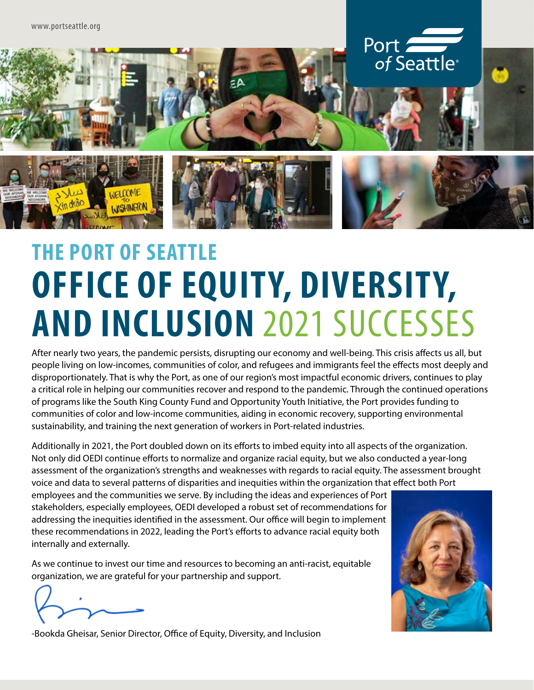

## **THE PORT OF SEATTLE OFFICE OF EQUITY, DIVERSITY, AND INCLUSION** 2021 SUCCESSES

After nearly two years, the pandemic persists, disrupting our economy and well-being. This crisis affects us all, but people living on low-incomes, communities of color, and refugees and immigrants feel the effects most deeply and disproportionately. That is why the Port, as one of our region's most impactful economic drivers, continues to play a critical role in helping our communities recover and respond to the pandemic. Through the continued operations of programs like the South King County Fund and Opportunity Youth Initiative, the Port provides funding to communities of color and low-income communities, aiding in economic recovery, supporting environmental sustainability, and training the next generation of workers in Port-related industries.

Additionally in 2021, the Port doubled down on its efforts to imbed equity into all aspects of the organization. Not only did OEDI continue efforts to normalize and organize racial equity, but we also conducted a year-long assessment of the organization's strengths and weaknesses with regards to racial equity. The assessment brought voice and data to several patterns of disparities and inequities within the organization that effect both Port

employees and the communities we serve. By including the ideas and experiences of Port stakeholders, especially employees, OEDI developed a robust set of recommendations for addressing the inequities identified in the assessment. Our office will begin to implement these recommendations in 2022, leading the Port's efforts to advance racial equity both internally and externally.

As we continue to invest our time and resources to becoming an anti-racist, equitable organization, we are grateful for your partnership and support.



-Bookda Gheisar, Senior Director, Office of Equity, Diversity, and Inclusion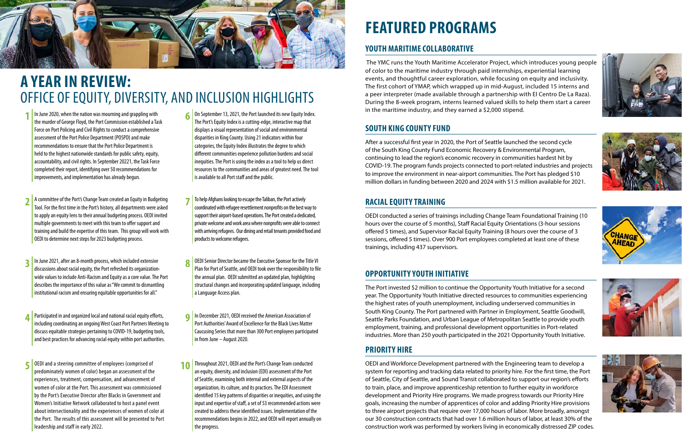

### **A YEAR IN REVIEW:**  OFFICE OF EQUITY, DIVERSITY, AND INCLUSION HIGHLIGHTS

## **FEATURED PROGRAMS**

- **1** In June 2020, when the nation was mourning and grappling with the murder of George Floyd, the Port Commission established a Task Force on Port Policing and Civil Rights to conduct a comprehensive assessment of the Port Police Department (POSPD) and make recommendations to ensure that the Port Police Department is held to the highest nationwide standards for public safety, equity, accountability, and civil rights. In September 20221, the Task Force completed their report, identifying over 50 recommendations for improvements, and implementation has already begun.
- **2** A committee of the Port's Change Team created an Equity in Budgeting Tool. For the first time in the Port's history, all departments were asked to apply an equity lens to their annual budgeting process. OEDI invited multiple governments to meet with this team to offer support and training and build the expertise of this team. This group will work with OEDI to determine next steps for 2023 budgeting process.
- **1** In June 2021, after an 8-month process, which included extensive discussions about racial equity, the Port refreshed its organizationwide values to include Anti-Racism and Equity as a core value. The Port describes the importance of this value as "We commit to dismantling institutional racism and ensuring equitable opportunities for all."
- **4** Participated in and organized local and national racial equity efforts, including coordinating an ongoing West Coast Port Partners Meeting to discuss equitable strategies pertaining to COVID-19, budgeting tools, and best practices for advancing racial equity within port authorities.
- **5** OEDI and a steering committee of employees (comprised of predominately women of color) began an assessment of the experiences, treatment, compensation, and advancement of women of color at the Port. This assessment was commissioned by the Port's Executive Director after Blacks in Government and Women's Initiative Network collaborated to host a panel event about intersectionality and the experiences of women of color at the Port. The results of this assessment will be presented to Port leadership and staff in early 2022.
- **6** On September 13, 2021, the Port launched its new Equity Index. The Port's Equity Index is a cutting-edge, interactive map that displays a visual representation of social and environmental disparities in King County. Using 21 indicators within four categories, the Equity Index illustrates the degree to which different communities experience pollution burdens and social inequities. The Port is using the index as a tool to help us direct resources to the communities and areas of greatest need. The tool is available to all Port staff and the public.
- **7** To help Afghans looking to escape the Taliban, the Port actively coordinated with refugee resettlement nonprofits on the best way to support their airport-based operations. The Port created a dedicated, private welcome and work area where nonprofits were able to connect with arriving refugees. Our dining and retail tenants provided food and products to welcome refugees.
- **8** OEDI Senior Director became the Executive Sponsor for the Title VI Plan for Port of Seattle, and OEDI took over the responsibility to file the annual plan. OEDI submitted an updated plan, highlighting structural changes and incorporating updated language, including a Language Access plan.
- **9** In December 2021, OEDI received the American Association of Port Authorities' Award of Excellence for the Black Lives Matter Caucusing Series that more than 300 Port employees participated in from June – August 2020.
- **10** Throughout 2021, OEDI and the Port's Change Team conducted an equity, diversity, and inclusion (EDI) assessment of the Port of Seattle, examining both internal and external aspects of the organization, its culture, and its practices. The EDI Assessment identified 15 key patterns of disparities or inequities, and using the input and expertise of staff, a set of 53 recommended actions were created to address these identified issues. Implementation of the recommendations begins in 2022, and OEDI will report annually on the progress.

#### **YOUTH MARITIME COLLABORATIVE**

 The YMC runs the Youth Maritime Accelerator Project, which introduces young people of color to the maritime industry through paid internships, experiential learning events, and thoughtful career exploration, while focusing on equity and inclusivity. The first cohort of YMAP, which wrapped up in mid-August, included 15 interns and a peer interpreter (made available through a partnership with El Centro De La Raza). During the 8-week program, interns learned valued skills to help them start a career in the maritime industry, and they earned a \$2,000 stipend.

#### **SOUTH KING COUNTY FUND**

After a successful first year in 2020, the Port of Seattle launched the second cycle of the South King County Fund Economic Recovery & Environmental Program, continuing to lead the region's economic recovery in communities hardest hit by COVID-19. The program funds projects connected to port-related industries and projects to improve the environment in near-airport communities. The Port has pledged \$10 million dollars in funding between 2020 and 2024 with \$1.5 million available for 2021.

#### **OPPORTUNITY YOUTH INITIATIVE**

The Port invested \$2 million to continue the Opportunity Youth Initiative for a second year. The Opportunity Youth Initiative directed resources to communities experiencing the highest rates of youth unemployment, including underserved communities in South King County. The Port partnered with Partner in Employment, Seattle Goodwill, Seattle Parks Foundation, and Urban League of Metropolitan Seattle to provide youth employment, training, and professional development opportunities in Port-related industries. More than 250 youth participated in the 2021 Opportunity Youth Initiative.

#### **RACIAL EQUITY TRAINING**

OEDI conducted a series of trainings including Change Team Foundational Training (10 hours over the course of 5 months), Staff Racial Equity Orientations (3-hour sessions offered 5 times), and Supervisor Racial Equity Training (8 hours over the course of 3 sessions, offered 5 times). Over 900 Port employees completed at least one of these trainings, including 437 supervisors.

#### **PRIORITY HIRE**

OEDI and Workforce Development partnered with the Engineering team to develop a system for reporting and tracking data related to priority hire. For the first time, the Port of Seattle, City of Seattle, and Sound Transit collaborated to support our region's efforts to train, place, and improve apprenticeship retention to further equity in workforce development and Priority Hire programs. We made progress towards our Priority Hire goals, increasing the number of apprentices of color and adding Priority Hire provisions to three airport projects that require over 17,000 hours of labor. More broadly, amongst our 30 construction contracts that had over 1.6 million hours of labor, at least 30% of the construction work was performed by workers living in economically distressed ZIP codes.







CHANGE<br>AHEAD